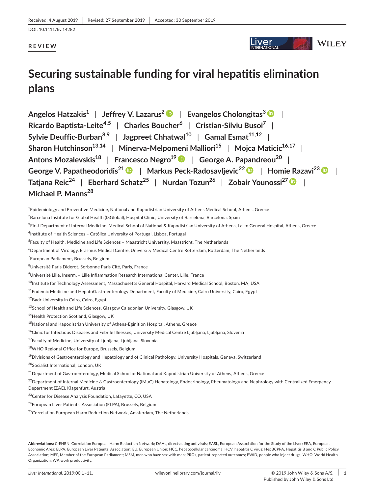DOI: 10.1111/liv.14282

# **REVIEW**

#### .iver **WILEY**

# **Securing sustainable funding for viral hepatitis elimination plans**

**Angelos Hatzakis1** | **Jeffrey V. Lazarus<sup>2</sup>** | **Evangelos Cholongitas[3](https://orcid.org/0000-0002-3645-582X)** | **Ricardo Baptista-Leite4,5** | **Charles Boucher<sup>6</sup>** | **Cristian-Silviu Busoi<sup>7</sup>** | **Sylvie** Deuffic-Burban<sup>8,9</sup> | Jagpreet Chhatwal<sup>10</sup> | Gamal Esmat<sup>11,12</sup> | **Sharon Hutchinson**<sup>13,14</sup> | Minerva-Melpomeni Malliori<sup>15</sup> | Mojca Maticic<sup>16,17</sup> | **Antons Mozalevskis18** | **Francesco Negro19** | **George A. Papandreou20** | **George V. Papatheodoridis21** | **Markus Peck-Radosavljevic2[2](https://orcid.org/0000-0002-0597-2728)** | **Homie Razavi<sup>23</sup>** | **Tatjana Reic<sup>24</sup>** | **Eberhard Schatz<sup>25</sup>** | **Nurdan Tozun<sup>26</sup>** | **Zobair Younossi2[7](https://orcid.org/0000-0001-9313-577X)** | **Michael P. Manns<sup>28</sup>**

 $^4$ Epidemiology and Preventive Medicine, National and Kapodistrian University of Athens Medical School, Athens, Greece

 $^3$ First Department of Internal Medicine, Medical School of National & Kapodistrian University of Athens, Laiko General Hospital, Athens, Greece

4 Institute of Health Sciences – Católica University of Portugal, Lisboa, Portugal

- <sup>5</sup>Faculty of Health, Medicine and Life Sciences Maastricht University, Maastricht, The Netherlands
- 6 Department of Virology, Erasmus Medical Centre, University Medical Centre Rotterdam, Rotterdam, The Netherlands
- 7 European Parliament, Brussels, Belgium

 $^8$ Université Paris Diderot, Sorbonne Paris Cité, Paris, France

 $^9$ Université Lille, Inserm, – Lille Inflammation Research International Center, Lille, France

<sup>10</sup>Institute for Technology Assessment, Massachusetts General Hospital, Harvard Medical School, Boston, MA, USA

<sup>11</sup>Endemic Medicine and HepatoGastroenterology Department, Faculty of Medicine, Cairo University, Cairo, Egypt

12Badr University in Cairo, Cairo, Egypt

<sup>13</sup>School of Health and Life Sciences, Glasgow Caledonian University, Glasgow, UK

14Health Protection Scotland, Glasgow, UK

<sup>15</sup>National and Kapodistrian University of Athens-Eginition Hospital, Athens, Greece

<sup>16</sup>Clinic for Infectious Diseases and Febrile Illnesses, University Medical Centre Ljubljana, Ljubljana, Slovenia

<sup>17</sup>Faculty of Medicine, University of Ljubljana, Ljubljana, Slovenia

<sup>19</sup>Divisions of Gastroenterology and Hepatology and of Clinical Pathology, University Hospitals, Geneva, Switzerland

<sup>21</sup>Department of Gastroenterology, Medical School of National and Kapodistrian University of Athens, Athens, Greece

<sup>22</sup>Department of Internal Medicine & Gastroenterology (IMuG) Hepatology, Endocrinology, Rheumatology and Nephrology with Centralized Emergency Department (ZAE), Klagenfurt, Austria

23Center for Disease Analysis Foundation, Lafayette, CO, USA

<sup>24</sup>European Liver Patients' Association (ELPA), Brussels, Belgium

<sup>25</sup>Correlation European Harm Reduction Network, Amsterdam, The Netherlands

 $^2$ Barcelona Institute for Global Health (ISGlobal), Hospital Clínic, University of Barcelona, Barcelona, Spain

<sup>18</sup>WHO Regional Office for Europe, Brussels, Belgium

<sup>20</sup>Socialist International, London, UK

**Abbreviations:** C-EHRN, Correlation European Harm Reduction Network; DAAs, direct-acting antivirals; EASL, European Association for the Study of the Liver; EEA, European Economic Area; ELPA, European Liver Patients' Association; EU, European Union; HCC, hepatocellular carcinoma; HCV, hepatitis C virus; HepBCPPA, Hepatitis B and C Public Policy Association; MEP, Member of the European Parliament; MSM, men who have sex with men; PROs, patient-reported outcomes; PWID, people who inject drugs; WHO, World Health Organization; WP, work productivity.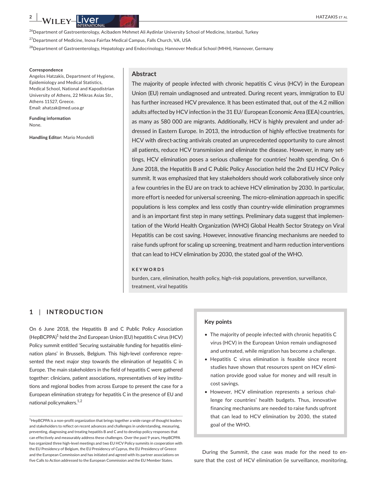<sup>26</sup>Department of Gastroenterology, Acibadem Mehmet Ali Aydinlar University School of Medicine, Istanbul, Turkey

27Department of Medicine, Inova Fairfax Medical Campus, Falls Church, VA, USA

<sup>28</sup>Department of Gastroenterology, Hepatology and Endocrinology, Hannover Medical School (MHH), Hannover, Germany

#### **Correspondence**

Angelos Hatzakis, Department of Hygiene, Epidemiology and Medical Statistics, Medical School, National and Kapodistrian University of Athens, 22 Mikras Asias Str., Athens 11527, Greece. Email: [ahatzak@med.uoa.gr](mailto:ahatzak@med.uoa.gr)

**Funding information** None.

**Handling Editor:** Mario Mondelli

#### **Abstract**

The majority of people infected with chronic hepatitis C virus (HCV) in the European Union (EU) remain undiagnosed and untreated. During recent years, immigration to EU has further increased HCV prevalence. It has been estimated that, out of the 4.2 million adults affected by HCV infection in the 31 EU/ European Economic Area (EEA) countries, as many as 580 000 are migrants. Additionally, HCV is highly prevalent and under addressed in Eastern Europe. In 2013, the introduction of highly effective treatments for HCV with direct-acting antivirals created an unprecedented opportunity to cure almost all patients, reduce HCV transmission and eliminate the disease. However, in many settings, HCV elimination poses a serious challenge for countries' health spending. On 6 June 2018, the Hepatitis B and C Public Policy Association held the 2nd EU HCV Policy summit. It was emphasized that key stakeholders should work collaboratively since only a few countries in the EU are on track to achieve HCV elimination by 2030. In particular, more effort is needed for universal screening. The micro-elimination approach in specific populations is less complex and less costly than country-wide elimination programmes and is an important first step in many settings. Preliminary data suggest that implementation of the World Health Organization (WHO) Global Health Sector Strategy on Viral Hepatitis can be cost saving. However, innovative financing mechanisms are needed to raise funds upfront for scaling up screening, treatment and harm reduction interventions that can lead to HCV elimination by 2030, the stated goal of the WHO.

#### **KEYWORDS**

burden, care, elimination, health policy, high-risk populations, prevention, surveillance, treatment, viral hepatitis

## **1** | **INTRODUCTION**

On 6 June 2018, the Hepatitis B and C Public Policy Association (HepBCPPA)<sup>1</sup> held the 2nd European Union (EU) hepatitis C virus (HCV) Policy summit entitled 'Securing sustainable funding for hepatitis elimination plans' in Brussels, Belgium. This high-level conference represented the next major step towards the elimination of hepatitis C in Europe. Τhe main stakeholders in the field of hepatitis C were gathered together: clinicians, patient associations, representatives of key institutions and regional bodies from across Europe to present the case for a European elimination strategy for hepatitis C in the presence of EU and national policymakers. $^{1,2}$ 

<sup>1</sup>HepBCPPA is a non-profit organization that brings together a wide range of thought leaders and stakeholders to reflect on recent advances and challenges in understanding, measuring, preventing, diagnosing and treating hepatitis B and C and to develop policy responses that can effectively and measurably address these challenges. Over the past 9 years, HepBCPPA has organized three high-level meetings and two EU HCV Policy summits in cooperation with the EU Presidency of Belgium, the EU Presidency of Cyprus, the EU Presidency of Greece and the European Commission and has initiated and agreed with its partner associations on five Calls to Action addressed to the European Commission and the EU Member States.

#### **Key points**

- The majority of people infected with chronic hepatitis C virus (HCV) in the European Union remain undiagnosed and untreated, while migration has become a challenge.
- Hepatitis C virus elimination is feasible since recent studies have shown that resources spent on HCV elimination provide good value for money and will result in cost savings.
- However, HCV elimination represents a serious challenge for countries' health budgets. Thus, innovative financing mechanisms are needed to raise funds upfront that can lead to HCV elimination by 2030, the stated goal of the WHO.

During the Summit, the case was made for the need to ensure that the cost of HCV elimination (ie surveillance, monitoring,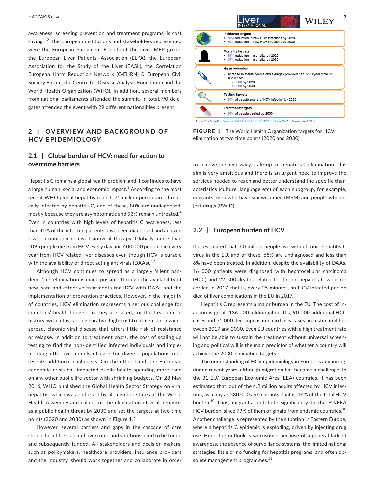awareness, screening prevention and treatment programs) is cost saving. $1,2$  The European institutions and stakeholders represented were the European Parliament Friends of the Liver MEP group, the European Liver Patients' Association (ELPA), the European Association for the Study of the Liver (EASL), the Correlation European Harm Reduction Network (C-EHRN) & European Civil Society Forum, the Centre for Disease Analysis Foundation and the World Health Organization (WHO). In addition, several members from national parliaments attended the summit. In total, 90 delegates attended the event with 29 different nationalities present.

## **2** | OVERVIEW AND BACKGROUND OF **HCV EPIDEMIOLOGY**

## **2.1** | **Global burden of HCV: need for action to overcome barriers**

Hepatitis C remains a global health problem and it continues to have a large human, social and economic impact. $^3$  According to the most recent WHO global hepatitis report, 71 million people are chronically infected by hepatitis C, and of these, 80% are undiagnosed, mostly because they are asymptomatic and 93% remain untreated.<sup>4</sup> Even in countries with high levels of hepatitis C awareness, less than 40% of the infected patients have been diagnosed and an even lower proportion received antiviral therapy. Globally, more than 1095 people die from HCV every day and 400 000 people die every year from HCV-related liver diseases even though HCV is curable with the availability of direct-acting antivirals (DAAs).<sup>5,6</sup>

Although HCV continues to spread as a largely 'silent pandemic', its elimination is made possible through the availability of new, safe and effective treatments for HCV with DAAs and the implementation of prevention practices. However, in the majority of countries, HCV elimination represents a serious challenge for countries' health budgets as they are faced, for the first time in history, with a fast-acting curative high-cost treatment for a widespread, chronic viral disease that offers little risk of resistance or relapse. In addition to treatment costs, the cost of scaling up testing to find the non-identified infected individuals and implementing effective models of care for diverse populations represents additional challenges. On the other hand, the European economic crisis has impacted public health spending more than on any other public life sector with shrinking budgets. On 28 May 2016, WHO published the Global Health Sector Strategy on viral hepatitis, which was endorsed by all member states at the World Health Assembly and called for the elimination of viral hepatitis as a public health threat by 2030 and set the targets at two time points (2020 and 2030) as shown in Figure  $1<sup>7</sup>$ 

However, several barriers and gaps in the cascade of care should be addressed and overcome and solutions need to be found and subsequently funded. All stakeholders and decision makers, such as policymakers, healthcare providers, insurance providers and the industry, should work together and collaborate in order



**FIGURE 1** The World Health Organization targets for HCV elimination at two time points (2020 and 2030)

to achieve the necessary scale-up for hepatitis C elimination. This aim is very ambitious and there is an urgent need to improve the services needed to reach and better understand the specific characteristics (culture, language etc) of each subgroup, for example, migrants, men who have sex with men (MSM) and people who inject drugs (PWID).

#### **2.2** | **European burden of HCV**

It is estimated that 3.0 million people live with chronic hepatitis C virus in the EU, and of these, 68% are undiagnosed and less than 6% have been treated. In addition, despite the availability of DAAs, 16 000 patients were diagnosed with hepatocellular carcinoma (HCC) and 22 500 deaths related to chronic hepatitis C were recorded in 2017, that is, every 25 minutes, an HCV-infected person died of liver complications in the EU in 2017. $8,9$ 

Hepatitis C represents a major burden in the EU. The cost of inaction is great—136 000 additional deaths, 90 000 additional HCC cases and 71 000 decompensated cirrhosis cases are estimated between 2017 and 2030. Even EU countries with a high treatment rate will not be able to sustain the treatment without universal screening and political will is the main predictor of whether a country will achieve the 2030 elimination targets.

The understanding of HCV epidemiology in Europe is advancing, during recent years, although migration has become a challenge. In the 31 EU/ European Economic Area (EEA) countries, it has been estimated that, out of the 4.2 million adults affected by HCV infection, as many as 580 000 are migrants, that is, 14% of the total HCV burden.<sup>10</sup> Thus, migrants contribute significantly to the EU/EEA HCV burden, since 79% of them originate from endemic countries.<sup>10</sup> Another challenge is represented by the situation in Eastern Europe, where a hepatitis C epidemic is exploding, driven by injecting drug use. Here, the outlook is worrisome, because of a general lack of awareness, the absence of surveillance systems, the limited national strategies, little or no funding for hepatitis programs, and often obsolete management programmes.<sup>11</sup>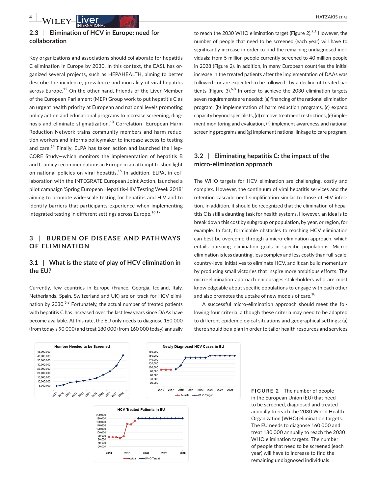# **2.3** | **Elimination of HCV in Europe: need for collaboration**

Key organizations and associations should collaborate for hepatitis C elimination in Europe by 2030. In this context, the EASL has organized several projects, such as HEPAHEALTH, aiming to better describe the incidence, prevalence and mortality of viral hepatitis across Europe.<sup>12</sup> On the other hand, Friends of the Liver Member of the European Parliament (MEP) Group work to put hepatitis C as an urgent health priority at European and national levels promoting policy action and educational programs to increase screening, diagnosis and eliminate stigmatization.13 Correlation—European Harm Reduction Network trains community members and harm reduction workers and informs policymaker to increase access to testing and care.<sup>14</sup> Finally, ELPA has taken action and launched the Hep-CORE Study—which monitors the implementation of hepatitis B and C policy recommendations in Europe in an attempt to shed light on national policies on viral hepatitis.<sup>15</sup> In addition, ELPA, in collaboration with the INTEGRATE European Joint Action, launched a pilot campaign 'Spring European Hepatitis-HIV Testing Week 2018' aiming to promote wide-scale testing for hepatitis and HIV and to identify barriers that participants experience when implementing integrated testing in different settings across Europe.<sup>16,17</sup>

# **3 | BURDEN OF DISEASE AND PATHWAYS OF ELIMINATION**

# **3.1** | **What is the state of play of HCV elimination in the EU?**

Currently, few countries in Europe (France, Georgia, Iceland, Italy, Netherlands, Spain, Switzerland and UK) are on track for HCV elimination by 2030.<sup>6,8</sup> Fortunately, the actual number of treated patients with hepatitis C has increased over the last few years since DAAs have become available. At this rate, the EU only needs to diagnose 160 000 (from today's 90 000) and treat 180 000 (from 160 000 today) annually to reach the 2030 WHO elimination target (Figure 2). $6,8$  However, the number of people that need to be screened (each year) will have to significantly increase in order to find the remaining undiagnosed individuals: from 5 million people currently screened to 40 million people in 2028 (Figure 2). In addition, in many European countries the initial increase in the treated patients after the implementation of DAAs was followed—or are expected to be followed—by a decline of treated patients (Figure 3). $6,8$  In order to achieve the 2030 elimination targets seven requirements are needed: (a) financing of the national elimination program, (b) implementation of harm reduction programs, (c) expand capacity beyond specialists, (d) remove treatment restrictions, (e) implement monitoring and evaluation, (f) implement awareness and national screening programs and (g) implement national linkage to care program.

## **3.2** | **Eliminating hepatitis C: the impact of the micro-elimination approach**

The WHO targets for HCV elimination are challenging, costly and complex. However, the continuum of viral hepatitis services and the retention cascade need simplification similar to those of HIV infection. In addition, it should be recognized that the elimination of hepatitis C is still a daunting task for health systems. However, an idea is to break down this cost by subgroup or population, by year, or region, for example. In fact, formidable obstacles to reaching HCV elimination can best be overcome through a micro-elimination approach, which entails pursuing elimination goals in specific populations. Microelimination is less daunting, less complex and less costly than full-scale, country-level initiatives to eliminate HCV, and it can build momentum by producing small victories that inspire more ambitious efforts. The micro-elimination approach encourages stakeholders who are most knowledgeable about specific populations to engage with each other and also promotes the uptake of new models of care.<sup>18</sup>

A successful micro-elimination approach should meet the following four criteria, although these criteria may need to be adapted to different epidemiological situations and geographical settings: (a) there should be a plan in order to tailor health resources and services







**FIGURE 2** The number of people in the European Union (EU) that need to be screened, diagnosed and treated annually to reach the 2030 World Health Organization (WHO) elimination targets. The EU needs to diagnose 160 000 and treat 180 000 annually to reach the 2030 WHO elimination targets. The number of people that need to be screened (each year) will have to increase to find the remaining undiagnosed individuals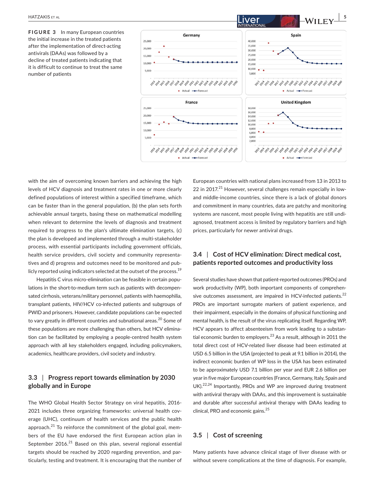**FIGURE 3** In many European countries the initial increase in the treated patients after the implementation of direct-acting antivirals (DAAs) was followed by a decline of treated patients indicating that it is difficult to continue to treat the same number of patients



with the aim of overcoming known barriers and achieving the high levels of HCV diagnosis and treatment rates in one or more clearly defined populations of interest within a specified timeframe, which can be faster than in the general population, (b) the plan sets forth achievable annual targets, basing these on mathematical modelling when relevant to determine the levels of diagnosis and treatment required to progress to the plan's ultimate elimination targets, (c) the plan is developed and implemented through a multi-stakeholder process, with essential participants including government officials, health service providers, civil society and community representatives and d) progress and outcomes need to be monitored and publicly reported using indicators selected at the outset of the process.<sup>19</sup>

Hepatitis C virus micro-elimination can be feasible in certain populations in the short-to-medium term such as patients with decompensated cirrhosis, veterans/military personnel, patients with haemophilia, transplant patients, HIV/HCV co-infected patients and subgroups of PWID and prisoners. However, candidate populations can be expected to vary greatly in different countries and subnational areas.<sup>20</sup> Some of these populations are more challenging than others, but HCV elimination can be facilitated by employing a people-centred health system approach with all key stakeholders engaged, including policymakers, academics, healthcare providers, civil society and industry.

## **3.3** | **Progress report towards elimination by 2030 globally and in Europe**

The WHO Global Health Sector Strategy on viral hepatitis, 2016- 2021 includes three organizing frameworks: universal health coverage (UHC), continuum of health services and the public health approach. $^{21}$  To reinforce the commitment of the global goal, members of the EU have endorsed the first European action plan in September  $2016$ <sup>21</sup> Based on this plan, several regional essential targets should be reached by 2020 regarding prevention, and particularly, testing and treatment. It is encouraging that the number of European countries with national plans increased from 13 in 2013 to 22 in 2017.<sup>21</sup> However, several challenges remain especially in lowand middle-income countries, since there is a lack of global donors and commitment in many countries, data are patchy and monitoring systems are nascent, most people living with hepatitis are still undiagnosed, treatment access is limited by regulatory barriers and high prices, particularly for newer antiviral drugs.

## **3.4** | **Cost of HCV elimination: Direct medical cost, patients reported outcomes and productivity loss**

Several studies have shown that patient-reported outcomes (PROs) and work productivity (WP), both important components of comprehensive outcomes assessment, are impaired in HCV-infected patients.<sup>22</sup> PROs are important surrogate markers of patient experience, and their impairment, especially in the domains of physical functioning and mental health, is the result of the virus replicating itself. Regarding WP, HCV appears to affect absenteeism from work leading to a substantial economic burden to employers. $^{23}$  As a result, although in 2011 the total direct cost of HCV-related liver disease had been estimated at USD 6.5 billion in the USA (projected to peak at 9.1 billion in 2014), the indirect economic burden of WP loss in the USA has been estimated to be approximately USD 7.1 billion per year and EUR 2.6 billion per year in five major European countries (France, Germany, Italy, Spain and UK).<sup>22,24</sup> Importantly, PROs and WP are improved during treatment with antiviral therapy with DAAs, and this improvement is sustainable and durable after successful antiviral therapy with DAAs leading to clinical, PRO and economic gains.<sup>25</sup>

# **3.5** | **Cost of screening**

Many patients have advance clinical stage of liver disease with or without severe complications at the time of diagnosis. For example,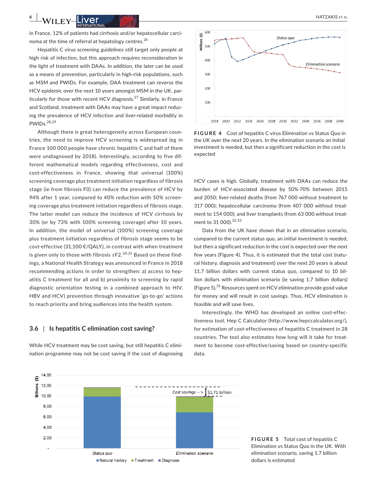in France, 12% of patients had cirrhosis and/or hepatocellular carcinoma at the time of referral at hepatology centres.<sup>26</sup>

Hepatitis C virus screening guidelines still target only people at high risk of infection, but this approach requires reconsideration in the light of treatment with DAAs. In addition, the later can be used as a means of prevention, particularly in high-risk populations, such as MSM and PWIDs. For example, DAA treatment can reverse the HCV epidemic over the next 10 years amongst MSM in the UK, particularly for those with recent HCV diagnosis.<sup>27</sup> Similarly, in France and Scotland, treatment with DAAs may have a great impact reducing the prevalence of HCV infection and liver-related morbidity in PWIDs.28,29

Although there is great heterogeneity across European countries, the need to improve HCV screening is widespread (eg in France 100 000 people have chronic hepatitis C and half of them were undiagnosed by 2018). Interestingly, according to five different mathematical models regarding effectiveness, cost and cost-effectiveness in France, showing that universal (100%) screening coverage plus treatment initiation regardless of fibrosis stage (ie from fibrosis F0) can reduce the prevalence of HCV by 94% after 1 year, compared to 40% reduction with 50% screening coverage plus treatment initiation regardless of fibrosis stage. The latter model can reduce the incidence of HCV cirrhosis by 30% (or by 73% with 100% screening coverage) after 10 years. In addition, the model of universal (100%) screening coverage plus treatment initiation regardless of fibrosis stage seems to be cost-effective (31,100 €/QALY), in contrast with when treatment is given only to those with fibrosis ≥F2.<sup>30,31</sup> Based on these findings, a National Health Strategy was announced in France in 2018 recommending actions in order to strengthen: a) access to hepatitis C treatment for all and b) proximity to screening by rapid diagnostic orientation testing in a combined approach to HIV, HBV and HCV) prevention through innovative 'go-to-go' actions to reach priority and bring audiences into the health system.

#### **3.6** | **Is hepatitis C elimination cost saving?**

While HCV treatment may be cost saving, but still hepatitis C elimination programme may not be cost saving if the cost of diagnosing



**FIGURE 4** Cost of hepatitis C virus Elimination vs Status Quo in the UK over the next 20 years. In the elimination scenario an initial investment is needed, but then a significant reduction in the cost is expected

HCV cases is high. Globally, treatment with DAAs can reduce the burden of HCV-associated disease by 50%-70% between 2015 and 2050; liver-related deaths (from 767 000 without treatment to 317 000); hepatocellular carcinoma (from 407 000 without treatment to 154 000); and liver transplants (from 63 000 without treatment to 31 000). 32, 33

Data from the UK have shown that in an elimination scenario, compared to the current status quo, an initial investment is needed, but then a significant reduction in the cost is expected over the next few years (Figure 4). Thus, it is estimated that the total cost (natural history, diagnosis and treatment) over the next 20 years is about 11.7 billion dollars with current status quo, compared to 10 billion dollars with elimination scenario (ie saving 1.7 billion dollars) (Figure 5). $^{31}$  Resources spent on HCV elimination provide good value for money and will result in cost savings. Thus, HCV elimination is feasible and will save lives.

Interestingly, the WHO has developed an online cost-effectiveness tool, Hep C Calculator (<http://www.hepccalculator.org/>), for estimation of cost-effectiveness of hepatitis C treatment in 28 countries. The tool also estimates how long will it take for treatment to become cost-effective/saving based on country-specific data.



**FIGURE 5** Total cost of hepatitis C Elimination vs Status Quo in the UK. With elimination scenario, saving 1.7 billion dollars is estimated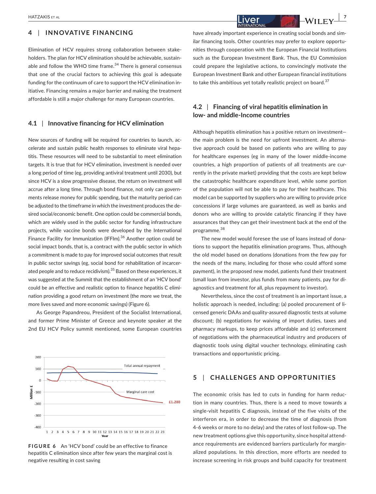## **4** | **INNOVATIVE FINANCING**

Elimination of HCV requires strong collaboration between stakeholders. The plan for HCV elimination should be achievable, sustainable and follow the WHO time frame. $34$  There is general consensus that one of the crucial factors to achieving this goal is adequate funding for the continuum of care to support the HCV elimination initiative. Financing remains a major barrier and making the treatment affordable is still a major challenge for many European countries.

#### **4.1** | **Innovative financing for HCV elimination**

New sources of funding will be required for countries to launch, accelerate and sustain public health responses to eliminate viral hepatitis. These resources will need to be substantial to meet elimination targets. It is true that for HCV elimination, investment is needed over a long period of time (eg, providing antiviral treatment until 2030), but since HCV is a slow progressive disease, the return on investment will accrue after a long time. Through bond finance, not only can governments release money for public spending, but the maturity period can be adjusted to the timeframe in which the investment produces the desired social/economic benefit. One option could be commercial bonds, which are widely used in the public sector for funding infrastructure projects, while vaccine bonds were developed by the International Finance Facility for Immunization (IFFIm).<sup>36</sup> Another option could be social impact bonds, that is, a contract with the public sector in which a commitment is made to pay for improved social outcomes that result in public sector savings (eg, social bond for rehabilitation of incarcerated people and to reduce recidivism).<sup>35</sup> Based on these experiences, it was suggested at the Summit that the establishment of an 'HCV bond' could be an effective and realistic option to finance hepatitis C elimination providing a good return on investment (the more we treat, the more lives saved and more economic savings) (Figure 6).

As George Papandreou, President of the Socialist International, and former Prime Minister of Greece and keynote speaker at the 2nd EU HCV Policy summit mentioned, some European countries



**FIGURE 6** An 'HCV bond' could be an effective to finance hepatitis C elimination since after few years the marginal cost is negative resulting in cost saving

have already important experience in creating social bonds and similar financing tools. Other countries may prefer to explore opportunities through cooperation with the European Financial Institutions such as the European Investment Bank. Thus, the EU Commission could prepare the legislative actions, to convincingly motivate the European Investment Bank and other European financial institutions to take this ambitious yet totally realistic project on board.<sup>37</sup>

## **4.2** | **Financing of viral hepatitis elimination in low- and middle-Income countries**

Although hepatitis elimination has a positive return on investment the main problem is the need for upfront investment. An alternative approach could be based on patients who are willing to pay for healthcare expenses (eg in many of the lower middle-income countries, a high proportion of patients of all treatments are currently in the private market) providing that the costs are kept below the catastrophic healthcare expenditure level, while some portion of the population will not be able to pay for their healthcare. This model can be supported by suppliers who are willing to provide price concessions if large volumes are guaranteed, as well as banks and donors who are willing to provide catalytic financing if they have assurances that they can get their investment back at the end of the programme.<sup>38</sup>

The new model would foresee the use of loans instead of donations to support the hepatitis elimination programs. Thus, although the old model based on donations (donations from the few pay for the needs of the many, including for those who could afford some payment), in the proposed new model, patients fund their treatment (small loan from investor, plus funds from many patients, pay for diagnostics and treatment for all, plus repayment to investor).

Nevertheless, since the cost of treatment is an important issue, a holistic approach is needed, including: (a) pooled procurement of licensed generic DAAs and quality-assured diagnostic tests at volume discount; (b) negotiations for waiving of import duties, taxes and pharmacy markups, to keep prices affordable and (c) enforcement of negotiations with the pharmaceutical industry and producers of diagnostic tools using digital voucher technology, eliminating cash transactions and opportunistic pricing.

## **5** | **CHALLENGES AND OPPORTUNITIES**

The economic crisis has led to cuts in funding for harm reduction in many countries. Thus, there is a need to move towards a single-visit hepatitis C diagnosis, instead of the five visits of the interferon era, in order to decrease the time of diagnosis (from 4-6 weeks or more to no delay) and the rates of lost follow-up. The new treatment options give this opportunity, since hospital attendance requirements are evidenced barriers particularly for marginalized populations. In this direction, more efforts are needed to increase screening in risk groups and build capacity for treatment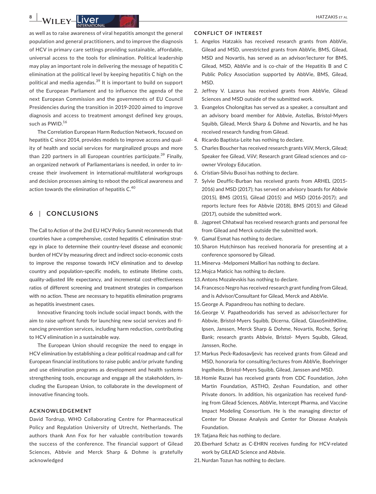as well as to raise awareness of viral hepatitis amongst the general population and general practitioners, and to improve the diagnosis of HCV in primary care settings providing sustainable, affordable, universal access to the tools for elimination. Political leadership may play an important role in delivering the message of hepatitis C elimination at the political level by keeping hepatitis C high on the political and media agendas.<sup>39</sup> It is important to build on support of the European Parliament and to influence the agenda of the next European Commission and the governments of EU Council Presidencies during the transition in 2019-2020 aimed to improve diagnosis and access to treatment amongst defined key groups, such as PWID.<sup>16</sup>

The Correlation European Harm Reduction Network, focused on hepatitis C since 2014, provides models to improve access and quality of health and social services for marginalized groups and more than 220 partners in all European countries participate.<sup>39</sup> Finally, an organized network of Parliamentarians is needed, in order to increase their involvement in international-multilateral workgroups and decision processes aiming to reboot the political awareness and action towards the elimination of hepatitis  $C<sup>40</sup>$ 

# **6** | **CONCLUSIONS**

The Call to Action of the 2nd EU HCV Policy Summit recommends that countries have a comprehensive, costed hepatitis C elimination strategy in place to determine their country-level disease and economic burden of HCV by measuring direct and indirect socio-economic costs to improve the response towards HCV elimination and to develop country and population-specific models, to estimate lifetime costs, quality-adjusted life expectancy, and incremental cost-effectiveness ratios of different screening and treatment strategies in comparison with no action. These are necessary to hepatitis elimination programs as hepatitis investment cases.

Innovative financing tools include social impact bonds, with the aim to raise upfront funds for launching new social services and financing prevention services, including harm reduction, contributing to HCV elimination in a sustainable way.

The European Union should recognize the need to engage in HCV elimination by establishing a clear political roadmap and call for European financial institutions to raise public and/or private funding and use elimination programs as development and health systems strengthening tools, encourage and engage all the stakeholders, including the European Union, to collaborate in the development of innovative financing tools.

#### **ACKNOWLEDGEMENT**

David Tordrup, WHO Collaborating Centre for Pharmaceutical Policy and Regulation University of Utrecht, Netherlands. The authors thank Ann Fox for her valuable contribution towards the success of the conference. The financial support of Gilead Sciences, Abbvie and Merck Sharp & Dohme is gratefully acknowledged

#### **CONFLICT OF INTEREST**

- 1. Angelos Hatzakis has received research grants from AbbVie, Gilead and MSD, unrestricted grants from AbbVie, BMS, Gilead, MSD and Novartis, has served as an advisor/lecturer for BMS, Gilead, MSD, AbbVie and is co-chair of the Hepatitis B and C Public Policy Association supported by AbbVie, BMS, Gilead, MSD.
- 2. Jeffrey V. Lazarus has received grants from AbbVie, Gilead Sciences and MSD outside of the submitted work.
- 3. Evangelos Cholongitas has served as a speaker, a consultant and an advisory board member for Abbvie, Astellas, Bristol-Myers Squibb, Gilead, Merck Sharp & Dohme and Novartis, and he has received research funding from Gilead.
- 4. Ricardo Baptista-Leite has nothing to declare.
- 5. Charles Boucher has received research grants ViiV, Merck, Gilead; Speaker fee Gilead, ViiV; Research grant Gilead sciences and coowner Virology Education.
- 6. Cristian-Silviu Busoi has nothing to declare.
- 7. Sylvie Deuffic-Burban has received grants from ARHEL (2015- 2016) and MSD (2017); has served on advisory boards for Abbvie (2015), BMS (2015), Gilead (2015) and MSD (2016-2017); and reports lecture fees for Abbvie (2018), BMS (2015) and Gilead (2017), outside the submitted work.
- 8. Jagpreet Chhatwal has received research grants and personal fee from Gilead and Merck outside the submitted work.
- 9. Gamal Esmat has nothing to declare.
- 10.Sharon Hutchinson has received honoraria for presenting at a conference sponsored by Gilead.
- 11.Minerva -Melpomeni Malliori has nothing to declare.
- 12.Mojca Maticic has nothing to declare.
- 13.Antons Mozalevskis has nothing to declare.
- 14.Francesco Negro has received research grant funding from Gilead, and is Advisor/Consultant for Gilead, Merck and AbbVie.
- 15.George A. Papandreou has nothing to declare.
- 16.George V. Papatheodoridis has served as advisor/lecturer for Abbvie, Bristol-Myers Squibb, Dicerna, Gilead, GlaxoSmithKline, Ipsen, Janssen, Merck Sharp & Dohme, Novartis, Roche, Spring Bank; research grants Abbvie, Bristol- Myers Squibb, Gilead, Janssen, Roche.
- 17. Markus Peck-Radosavljevic has received grants from Gilead and MSD, honoraria for consulting/lectures from AbbVie, Boehringer Ingelheim, Bristol-Myers Squibb, Gilead, Janssen and MSD.
- 18.Homie Razavi has received grants from CDC Foundation, John Martin Foundation, ASTHO, Zeshan Foundation, and other Private donors. In addition, his organization has received funding from Gilead Sciences, AbbVie, Intercept Pharma, and Vaccine Impact Modeling Consortium. He is the managing director of Center for Disease Analysis and Center for Disease Analysis Foundation.
- 19. Tatjana Reic has nothing to declare.
- 20.Eberhard Schatz as C-EHRN receives funding for HCV-related work by GILEAD Science and Abbvie.
- 21.Nurdan Tozun has nothing to declare.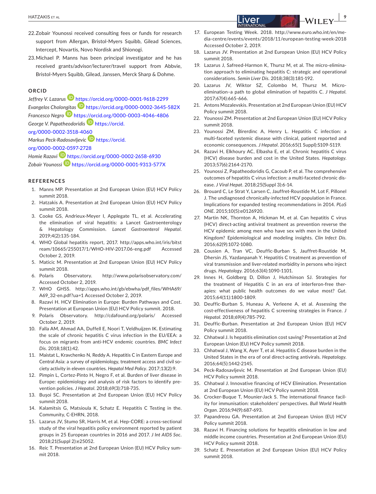- 22.Zobair Younossi received consulting fees or funds for research support from Allergan, Bristol-Myers Squibb, Gilead Sciences, Intercept, Novartis, Novo Nordisk and Shionogi.
- 23.Michael P. Manns has been principal investigator and he has received grants/advisor/lecturer/travel support from Abbvie, Bristol-Myers Squibb, Gilead, Janssen, Merck Sharp & Dohme.

#### **ORCID**

*Jeffrey V. Lazaru[s](https://orcid.org/0000-0001-9618-2299)* <https://orcid.org/0000-0001-9618-2299> *Evangelos Cholo[ngita](https://orcid.org/0000-0003-4046-4806)s* <https://orcid.org/0000-0002-3645-582X> *Francesco Negro* <https://orcid.org/0000-0003-4046-4806> *George V. Papatheodoridis* [https://orcid.](https://orcid.org/0000-0002-3518-4060) [org/0000-0002-3518-4060](https://orcid.org/0000-0002-3518-4060)

*Markus Peck-Radosavljevic* [https://orcid.](https://orcid.org/0000-0002-0597-2728)

[org/0000-0002-0597-2728](https://orcid.org/0000-0002-0597-2728)

*Homie Razavi* <https://orcid.org/0000-0002-2658-6930> *Zobair Younossi* <https://orcid.org/0000-0001-9313-577X>

#### **REFERENCES**

- 1. Manns MP. Presentation at 2nd European Union (EU) HCV Policy summit 2018.
- 2. Hatzakis A. Presentation at 2nd European Union (EU) HCV Policy summit 2018.
- 3. Cooke GS, Andrieux-Meyer I, Applegate TL, et al. Accelerating the elimination of viral hepatitis: a Lancet Gastroenterology & Hepatology Commission. *Lancet Gastroenterol Hepatol*. 2019;4(2):135-184.
- 4. WHO Global hepatitis report, 2017. [http://apps.who.int/iris/bitst](http://apps.who.int/iris/bitstream/10665/255017/1/WHO-HIV-2017.06-eng.pdf) [ream/10665/255017/1/WHO-HIV-2017.06-eng.pdf](http://apps.who.int/iris/bitstream/10665/255017/1/WHO-HIV-2017.06-eng.pdf) Accessed October 2, 2019.
- 5. Maticic M. Presentation at 2nd European Union (EU) HCV Policy summit 2018.
- 6. Polaris Observatory. <http://www.polarisobservatory.com/> Accessed October 2, 2019.
- 7. WHO GHSS. [http://apps.who.int/gb/ebwha/pdf\\_files/WHA69/](http://apps.who.int/gb/ebwha/pdf_files/WHA69/A69_32-en.pdf?ua=1) [A69\\_32-en.pdf?ua=1](http://apps.who.int/gb/ebwha/pdf_files/WHA69/A69_32-en.pdf?ua=1) Accessed October 2, 2019.
- 8. Razavi H. HCV Elimination in Europe: Burden Pathways and Cost. Presentation at European Union (EU) HCV Policy summit. 2018.
- 9. Polaris Observatory. <http://cdafound.org/polaris/>Accessed October 2, 2019.
- 10. Falla AM, Ahmad AA, Duffell E, Noori T, Veldhuijzen IK. Estimating the scale of chronic hepatitis C virus infection in the EU/EEA: a focus on migrants from anti-HCV endemic countries. *BMC Infect Dis*. 2018;18(1):42.
- 11. Maistat L, Kravchenko N, Reddy A. Hepatitis C in Eastern Europe and Central Asia: a survey of epidemiology, treatment access and civil society activity in eleven countries. *Hepatol Med Policy*. 2017;13(2):9.
- 12. Pimpin L, Cortez-Pinto H, Negro F, et al. Burden of liver disease in Europe: epidemiology and analysis of risk factors to identify prevention policies. *J Hepatol*. 2018;69(3):718-735.
- 13. Buşoi SC. Presentation at 2nd European Union (EU) HCV Policy summit 2018.
- 14. Kalamitsis G, Matsioula K, Schatz E. Hepatitis C Testing in the. Community, C-EHRN, 2018.
- 15. Lazarus JV, Stumo SR, Harris M, et al. Hep-CORE: a cross-sectional study of the viral hepatitis policy environment reported by patient groups in 25 European countries in 2016 and 2017. *J Int AIDS Soc*. 2018;21(Suppl 2):e25052.
- 16. Reic T. Presentation at 2nd European Union (EU) HCV Policy summit 2018.
- 17. European Testing Week. 2018. [http://www.euro.who.int/en/me](http://www.euro.who.int/en/media-centre/events/events/2018/11/european-testing-week-2018)[dia-centre/events/events/2018/11/european-testing-week-2018](http://www.euro.who.int/en/media-centre/events/events/2018/11/european-testing-week-2018)  Accessed October 2, 2019.
- 18. Lazarus JV. Presentation at 2nd European Union (EU) HCV Policy summit 2018.
- 19. Lazarus J, Safreed-Harmon K, Thursz M, et al. The micro-elimination approach to eliminating hepatitis C: strategic and operational considerations. *Semin Liver Dis*. 2018;38(3):181-192.
- 20. Lazarus JV, Wiktor SZ, Colombo M, Thursz M. Microelimination–a path to global elimination of hepatitis C. *J Hepatol*. 2017;67(4):665-666.
- 21. Antons Mozalevskis. Presentation at 2nd European Union (EU) HCV Policy summit 2018.
- 22. Younossi ZM. Presentation at 2nd European Union (EU) HCV Policy summit 2018.
- 23. Younossi ZM, Birerdinc A, Henry L. Hepatitis C infection: a multi-faceted systemic disease with clinical, patient reported and economic consequences. *J Hepatol*. 2016;65(1 Suppl):S109-S119.
- 24. Razavi H, Elkhoury AC, Elbasha E, et al. Chronic hepatitis C virus (HCV) disease burden and cost in the United States. *Hepatology*. 2013;57(6):2164-2170.
- 25. Younossi Z, Papatheodoridis G, Cacoub P, et al. The comprehensive outcomes of hepatitis C virus infection: a multi-faceted chronic disease. *J Viral Hepat*. 2018;25(Suppl 3):6-14.
- 26. Brouard C, Le Strat Y, Larsen C, Jauffret-Roustide M, Lot F, Pillonel J. The undiagnosed chronically-infected HCV population in France. Implications for expanded testing recommendations in 2014. *PLoS ONE*. 2015;10(5):e0126920.
- 27. Martin NK, Thornton A, Hickman M, et al. Can hepatitis C virus (HCV) direct-acting antiviral treatment as prevention reverse the HCV epidemic among men who have sex with men in the United Kingdom? Epidemiological and modeling insights. *Clin Infect Dis*. 2016;62(9):1072-1080.
- 28. Cousien A, Tran VC, Deuffic-Burban S, Jauffret-Roustide M, Dhersin JS, Yazdanpanah Y. Hepatitis C treatment as prevention of viral transmission and liver-related morbidity in persons who inject drugs. *Hepatology*. 2016;63(4):1090-1101.
- 29. Innes H, Goldberg D, Dillon J, Hutchinson SJ. Strategies for the treatment of Hepatitis C in an era of interferon-free therapies: what public health outcomes do we value most? *Gut*. 2015;64(11):1800-1809.
- 30. Deuffic-Burban S, Huneau A, Verleene A, et al. Assessing the cost-effectiveness of hepatitis C screening strategies in France. *J Hepatol*. 2018;69(4):785-792.
- 31. Deuffic-Burban. Presentation at 2nd European Union (EU) HCV Policy summit 2018.
- 32. Chhatwal J. Is hepatitis elimination cost saving? Presentation at 2nd European Union (EU) HCV Policy summit 2018.
- 33. Chhatwal J, Wang X, Ayer T, et al. Hepatitis C disease burden in the United States in the era of oral direct-acting antivirals. *Hepatology*. 2016;64(5):1442-2145.
- 34. Peck-Radosavljevic M. Presentation at 2nd European Union (EU) HCV Policy summit 2018.
- 35. Chhatwal J. Innovative financing of HCV Elimination. Presentation at 2nd European Union (EU) HCV Policy summit 2018.
- 36. Crocker-Buque T, Mounier-Jack S. The international finance facility for immunisation: stakeholders' perspectives. *Bull World Health Organ*. 2016;94(9):687-693.
- 37. Papandreou GA. Presentation at 2nd European Union (EU) HCV Policy summit 2018.
- 38. Razavi H. Financing solutions for hepatitis elimination in low and middle income countries. Presentation at 2nd European Union (EU) HCV Policy summit 2018.
- 39. Schatz E. Presentation at 2nd European Union (EU) HCV Policy summit 2018.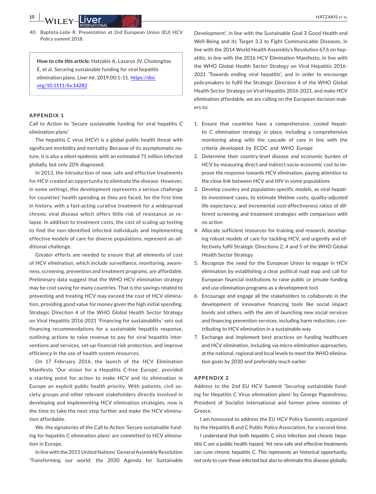40. Baptista-Leite R. Presentation at 2nd European Union (EU) HCV Policy summit 2018.

**How to cite this article:** Hatzakis A, Lazarus JV, Cholongitas E, et al. Securing sustainable funding for viral hepatitis elimination plans. *Liver Int*. 2019;00:1–11. [https://doi.](https://doi.org/10.1111/liv.14282) [org/10.1111/liv.14282](https://doi.org/10.1111/liv.14282)

#### **APPENDIX 1**

Call to Action to 'Secure sustainable funding for viral hepatitis C elimination plans'

The hepatitis C virus (HCV) is a global public health threat with significant morbidity and mortality. Because of its asymptomatic nature, it is also a silent epidemic with an estimated 71 million infected globally, but only 20% diagnosed.

In 2013, the introduction of new, safe and effective treatments for HCV created an opportunity to eliminate the disease. However, in some settings, this development represents a serious challenge for countries' health spending as they are faced, for the first time in history, with a fast-acting curative treatment for a widespread chronic viral disease which offers little risk of resistance or relapse. In addition to treatment costs, the cost of scaling up testing to find the non-identified infected individuals and implementing effective models of care for diverse populations, represent an additional challenge.

Greater efforts are needed to ensure that all elements of cost of HCV elimination, which include surveillance, monitoring, awareness, screening, prevention and treatment programs, are affordable. Preliminary data suggest that the WHO HCV elimination strategy may be cost saving for many countries. That is the savings related to preventing and treating HCV may exceed the cost of HCV elimination, providing good value for money given the high initial spending. Strategic Direction 4 of the WHO Global Health Sector Strategy on Viral Hepatitis 2016-2021 'Financing for sustainability' sets out financing recommendations for a sustainable hepatitis response, outlining actions to raise revenue to pay for viral hepatitis interventions and services, set-up financial risk protection, and improve efficiency in the use of health system resources.

On 17 February 2016, the launch of the HCV Elimination Manifesto 'Our vision for a Hepatitis C-free Europe', provided a starting point for action to make HCV and its elimination in Europe an explicit public health priority. With patients, civil society groups and other relevant stakeholders directly involved in developing and implementing HCV elimination strategies, now is the time to take the next step further and make the HCV elimination affordable.

We, the signatories of the Call to Action 'Secure sustainable funding for hepatitis C elimination plans' are committed to HCV elimination in Europe.

In line with the 2015 United Nations' General Assembly Resolution 'Transforming our world: the 2030 Agenda for Sustainable

Development', in line with the Sustainable Goal 3 Good Health and Well-Being and its Target 3.3 to Fight Communicable Diseases, in line with the 2014 World Health Assembly's Resolution 67.6 on hepatitis, in line with the 2016 HCV Elimination Manifesto, in line with the WHO Global Health Sector Strategy on Viral Hepatitis 2016- 2021 'Towards ending viral hepatitis', and in order to encourage policymakers to fulfil the Strategic Direction 4 of the WHO Global Health Sector Strategy on Viral Hepatitis 2016-2021, and make HCV elimination affordable, we are calling on the European decision makers to:

- 1. Ensure that countries have a comprehensive, costed hepatitis C elimination strategy in place, including a comprehensive monitoring along with the cascade of care in line with the criteria developed by ECDC and WHO Europe
- 2. Determine their country-level disease and economic burden of HCV by measuring direct and indirect socio-economic cost to improve the response towards HCV elimination, paying attention to the close link between HCV and HIV in some populations
- 3. Develop country and population-specific models, as viral hepatitis investment cases, to estimate lifetime costs, quality-adjusted life expectancy, and incremental cost-effectiveness ratios of different screening and treatment strategies with comparison with no action
- 4. Allocate sufficient resources for training and research, developing robust models of care for tackling HCV, and urgently and effectively fulfil Strategic Directions 2, 4 and 5 of the WHO Global Health Sector Strategy
- 5. Recognize the need for the European Union to engage in HCV elimination by establishing a clear political road map and call for European financial institutions to raise public or private funding and use elimination programs as a development tool
- 6. Encourage and engage all the stakeholders to collaborate in the development of innovative financing tools like social impact bonds and others, with the aim of launching new social services and financing prevention services, including harm reduction, contributing to HCV elimination in a sustainable way
- 7. Exchange and implement best practices on funding healthcare and HCV elimination, including via micro-elimination approaches, at the national, regional and local levels to meet the WHO elimination goals by 2030 and preferably much earlier

#### **APPENDIX 2**

Address to the 2nd EU HCV Summit 'Securing sustainable funding for Hepatitis C Virus elimination plans' by George Papandreou, President of Socialist International and former prime minister of Greece.

I am honoured to address the EU HCV Policy Summits organized by the Hepatitis B and C Public Policy Association, for a second time.

I understand that both hepatitis C virus infection and chronic hepatitis C are a public health hazard. Yet new safe and effective treatments can cure chronic hepatitis C. This represents an historical opportunity, not only to cure those infected but also to eliminate this disease globally.